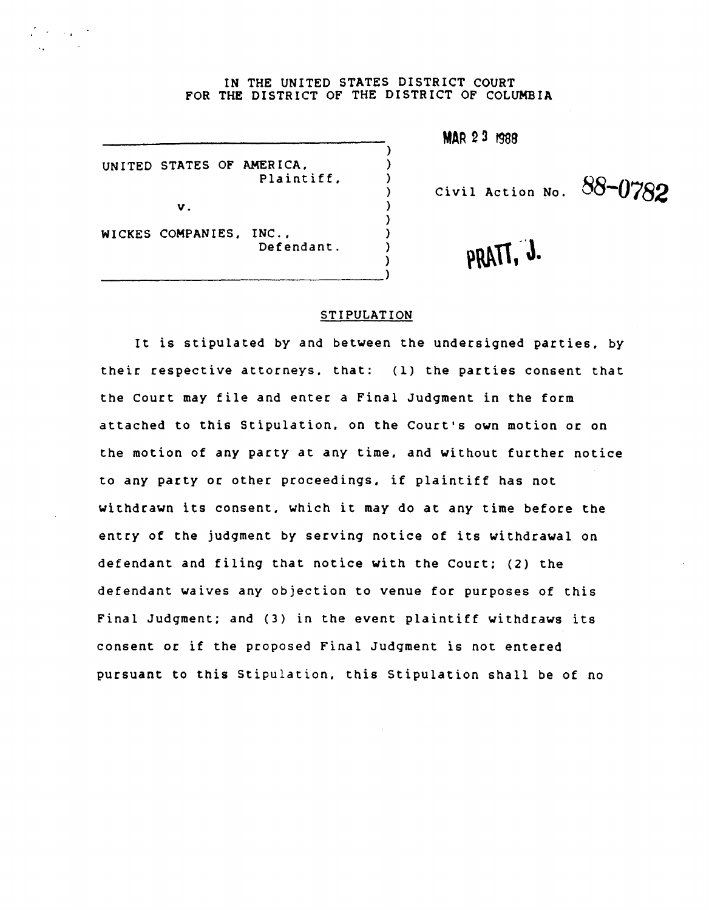## IN THE UNITED STATES DISTRICT COURT FOR THE DISTRICT OF THE DISTRICT OF COLUMBIA

) ) ) ) ) ) ) ) )

UNITED STATES OF AMERICA. Plaintiff.

v.

**CAST CARDS** 

WICKES COMPANIES. INC., Defendant.

--------------------------------)

**MAR 23 f988** 

Civil Action No. **88-0782** 

PRATT, J.

## STIPULATION

It is stipulated by and between the undersigned parties. by their respective attorneys. that: (1) the parties consent that the Court may file and enter a Final Judgment in the form attached to this Stipulation. on the Court's own motion or on the motion of any party at any time. and without further notice to any party or other proceedings. if plaintiff has not withdrawn its consent. which it may do at any time before the entry of the judgment by serving notice of its withdrawal on defendant and filing that notice with the Court; (2) the defendant waives any objection to venue for purposes of this Final Judgment; and (3) in the event plaintiff withdraws its consent or if the proposed Final Judgment is not entered pursuant to this Stipulation. this Stipulation shall be of no